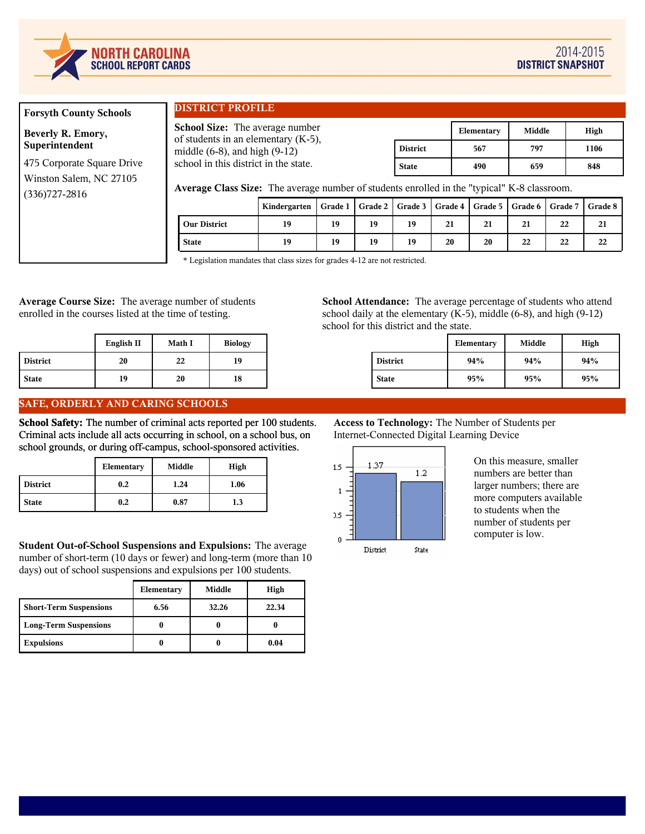

# **Forsyth County Schools**

**Beverly R. Emory, Superintendent**

475 Corporate Square Drive Winston Salem, NC 27105 (336)727-2816

# **DISTRICT PROFILE**

**School Size:** The average number of students in an elementary (K-5), middle (6-8), and high (9-12) school in this district in the state.

|                 | Elementary | Middle | High |
|-----------------|------------|--------|------|
| <b>District</b> | 567        | 797    | 1106 |
| <b>State</b>    | 490        | 659    | 848  |

**Average Class Size:** The average number of students enrolled in the "typical" K-8 classroom.

|                     | Kindergarten   Grade 1   Grade 2   Grade 3   Grade 4   Grade 5   Grade 6   Grade 7   Grade 8 |    |    |    |    |    |    |    |    |
|---------------------|----------------------------------------------------------------------------------------------|----|----|----|----|----|----|----|----|
| <b>Our District</b> | 19                                                                                           | 19 | 19 | 19 | 21 | 21 | 21 | 22 |    |
| <b>State</b>        | 19                                                                                           | 19 | 19 | 19 | 20 | 20 | 22 | 22 | 22 |

\* Legislation mandates that class sizes for grades 4-12 are not restricted.

**Average Course Size:** The average number of students enrolled in the courses listed at the time of testing.

|                 | English II | <b>Math I</b> | <b>Biology</b> |
|-----------------|------------|---------------|----------------|
| <b>District</b> | 20         | 22            | 19             |
| <b>State</b>    | 19         | 20            | 18             |

# **SAFE, ORDERLY AND CARING SCHOOLS**

**School Safety:** The number of criminal acts reported per 100 students. Criminal acts include all acts occurring in school, on a school bus, on school grounds, or during off-campus, school-sponsored activities.

|                 | Elementary | Middle | High |
|-----------------|------------|--------|------|
| <b>District</b> | 0.2        | 1.24   | 1.06 |
| <b>State</b>    | 0.2        | 0.87   | 1.3  |

**Student Out-of-School Suspensions and Expulsions:** The average number of short-term (10 days or fewer) and long-term (more than 10 days) out of school suspensions and expulsions per 100 students.

|                               | Elementary | Middle | High  |
|-------------------------------|------------|--------|-------|
| <b>Short-Term Suspensions</b> | 6.56       | 32.26  | 22.34 |
| <b>Long-Term Suspensions</b>  |            |        |       |
| <b>Expulsions</b>             |            |        | 0.04  |

**School Attendance:** The average percentage of students who attend school daily at the elementary  $(K-5)$ , middle  $(6-8)$ , and high  $(9-12)$ school for this district and the state.

|                 | Elementary | Middle | High |
|-----------------|------------|--------|------|
| <b>District</b> | 94%        | 94%    | 94%  |
| <b>State</b>    | 95%        | 95%    | 95%  |

# **Access to Technology:** The Number of Students per Internet-Connected Digital Learning Device



On this measure, smaller numbers are better than larger numbers; there are more computers available to students when the number of students per computer is low.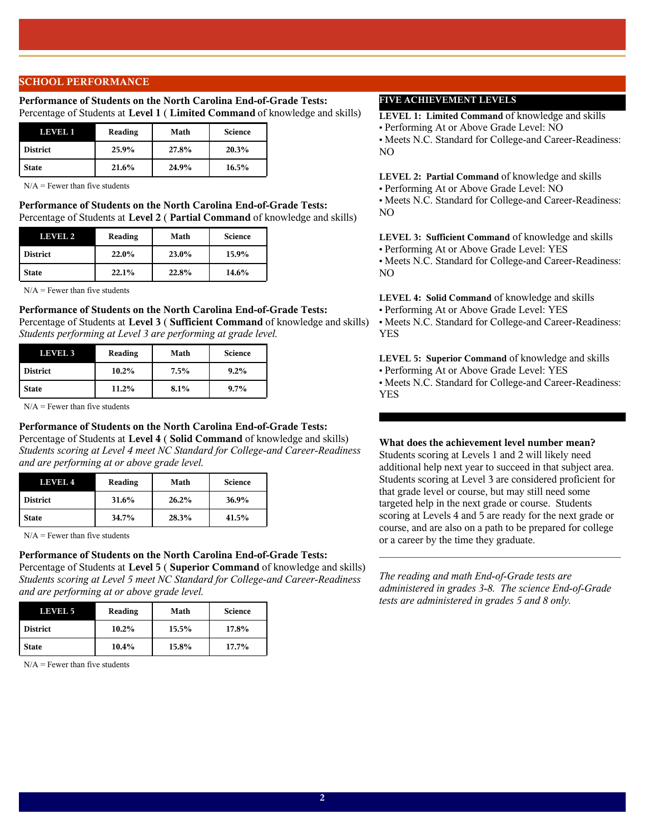# **SCHOOL PERFORMANCE**

### **Performance of Students on the North Carolina End-of-Grade Tests:**  Percentage of Students at **Level 1** ( **Limited Command** of knowledge and skills)

| LEVEL 1         | Reading | Math  | <b>Science</b> |
|-----------------|---------|-------|----------------|
| <b>District</b> | 25.9%   | 27.8% | 20.3%          |
| <b>State</b>    | 21.6%   | 24.9% | 16.5%          |

 $N/A$  = Fewer than five students

**Performance of Students on the North Carolina End-of-Grade Tests:**  Percentage of Students at **Level 2** ( **Partial Command** of knowledge and skills)

| LEVEL 2      | Reading | Math  | <b>Science</b> |
|--------------|---------|-------|----------------|
| District     | 22.0%   | 23.0% | 15.9%          |
| <b>State</b> | 22.1%   | 22.8% | 14.6%          |

 $N/A =$  Fewer than five students

### **Performance of Students on the North Carolina End-of-Grade Tests:**

Percentage of Students at **Level 3** ( **Sufficient Command** of knowledge and skills) *Students performing at Level 3 are performing at grade level.*

| <b>LEVEL 3</b> | Reading  | Math | <b>Science</b> |
|----------------|----------|------|----------------|
| District       | $10.2\%$ | 7.5% | $9.2\%$        |
| <b>State</b>   | 11.2%    | 8.1% | $9.7\%$        |

 $N/A =$  Fewer than five students

### **Performance of Students on the North Carolina End-of-Grade Tests:**

Percentage of Students at **Level 4** ( **Solid Command** of knowledge and skills) *Students scoring at Level 4 meet NC Standard for College-and Career-Readiness and are performing at or above grade level.*

| LEVEL 4         | Reading  | Math  | <b>Science</b> |
|-----------------|----------|-------|----------------|
| <b>District</b> | 31.6%    | 26.2% | 36.9%          |
| <b>State</b>    | $34.7\%$ | 28.3% | 41.5%          |

 $N/A =$  Fewer than five students

### **Performance of Students on the North Carolina End-of-Grade Tests:**

Percentage of Students at **Level 5** ( **Superior Command** of knowledge and skills) *Students scoring at Level 5 meet NC Standard for College-and Career-Readiness and are performing at or above grade level.*

| LEVEL 5         | Reading  | Math  | <b>Science</b> |
|-----------------|----------|-------|----------------|
| <b>District</b> | $10.2\%$ | 15.5% | 17.8%          |
| <b>State</b>    | $10.4\%$ | 15.8% | 17.7%          |

 $N/A$  = Fewer than five students

# **FIVE ACHIEVEMENT LEVELS**

**LEVEL 1: Limited Command** of knowledge and skills

**•** Performing At or Above Grade Level: NO

**•** Meets N.C. Standard for College-and Career-Readiness: NO

**LEVEL 2: Partial Command** of knowledge and skills **•** Performing At or Above Grade Level: NO

**•** Meets N.C. Standard for College-and Career-Readiness: NO

**LEVEL 3: Sufficient Command** of knowledge and skills

**•** Performing At or Above Grade Level: YES **•** Meets N.C. Standard for College-and Career-Readiness: NO

**LEVEL 4: Solid Command** of knowledge and skills **•** Performing At or Above Grade Level: YES

**•** Meets N.C. Standard for College-and Career-Readiness: YES

**LEVEL 5: Superior Command** of knowledge and skills

**•** Performing At or Above Grade Level: YES

**•** Meets N.C. Standard for College-and Career-Readiness: YES

# **What does the achievement level number mean?**

Students scoring at Levels 1 and 2 will likely need additional help next year to succeed in that subject area. Students scoring at Level 3 are considered proficient for that grade level or course, but may still need some targeted help in the next grade or course. Students scoring at Levels 4 and 5 are ready for the next grade or course, and are also on a path to be prepared for college or a career by the time they graduate.

*The reading and math End-of-Grade tests are administered in grades 3-8. The science End-of-Grade tests are administered in grades 5 and 8 only.*

 $\mathcal{L}_\text{max}$  and  $\mathcal{L}_\text{max}$  and  $\mathcal{L}_\text{max}$  and  $\mathcal{L}_\text{max}$  and  $\mathcal{L}_\text{max}$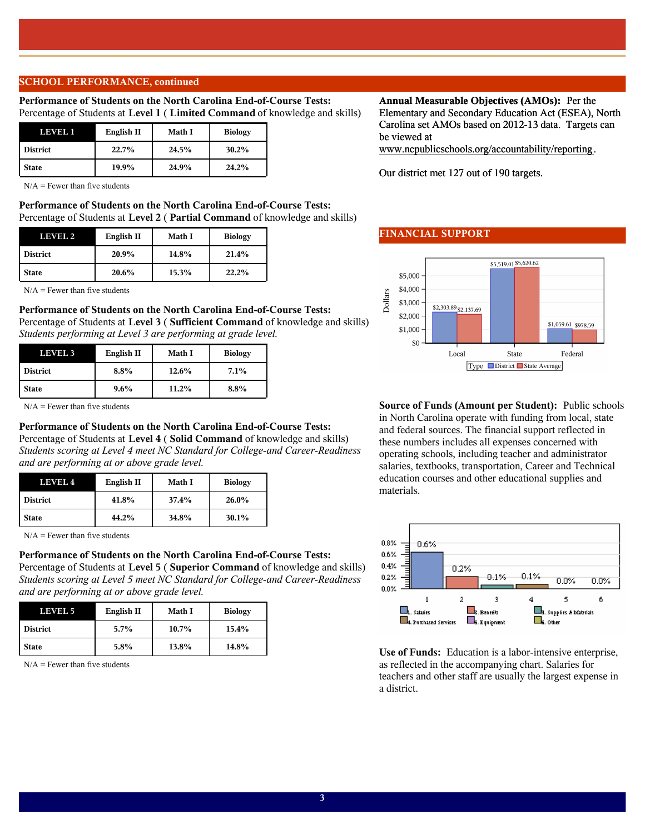# **SCHOOL PERFORMANCE, continued**

### **Performance of Students on the North Carolina End-of-Course Tests:**  Percentage of Students at **Level 1** ( **Limited Command** of knowledge and skills)

| LEVEL 1         | English II | Math I | <b>Biology</b> |
|-----------------|------------|--------|----------------|
| <b>District</b> | 22.7%      | 24.5%  | 30.2%          |
| <b>State</b>    | 19.9%      | 24.9%  | 24.2%          |

 $N/A$  = Fewer than five students

**Performance of Students on the North Carolina End-of-Course Tests:**  Percentage of Students at **Level 2** ( **Partial Command** of knowledge and skills)

| LEVEL 2         | English II | Math I | <b>Biology</b> |
|-----------------|------------|--------|----------------|
| <b>District</b> | 20.9%      | 14.8%  | 21.4%          |
| <b>State</b>    | 20.6%      | 15.3%  | 22.2%          |

 $N/A$  = Fewer than five students

### **Performance of Students on the North Carolina End-of-Course Tests:**

Percentage of Students at **Level 3** ( **Sufficient Command** of knowledge and skills) *Students performing at Level 3 are performing at grade level.*

| <b>LEVEL 3</b>  | English II | <b>Math I</b> | <b>Biology</b> |
|-----------------|------------|---------------|----------------|
| <b>District</b> | $8.8\%$    | 12.6%         | $7.1\%$        |
| <b>State</b>    | $9.6\%$    | 11.2%         | $8.8\%$        |

 $N/A =$  Fewer than five students

### **Performance of Students on the North Carolina End-of-Course Tests:**

Percentage of Students at **Level 4** ( **Solid Command** of knowledge and skills) *Students scoring at Level 4 meet NC Standard for College-and Career-Readiness and are performing at or above grade level.*

| LEVEL 4         | English II | Math I | <b>Biology</b> |
|-----------------|------------|--------|----------------|
| <b>District</b> | 41.8%      | 37.4%  | 26.0%          |
| <b>State</b>    | 44.2%      | 34.8%  | $30.1\%$       |

 $N/A$  = Fewer than five students

### **Performance of Students on the North Carolina End-of-Course Tests:**

Percentage of Students at **Level 5** ( **Superior Command** of knowledge and skills) *Students scoring at Level 5 meet NC Standard for College-and Career-Readiness and are performing at or above grade level.*

| LEVEL 5         | English II | Math I | <b>Biology</b> |
|-----------------|------------|--------|----------------|
| <b>District</b> | $5.7\%$    | 10.7%  | 15.4%          |
| <b>State</b>    | 5.8%       | 13.8%  | 14.8%          |

 $N/A$  = Fewer than five students

### **Annual Measurable Objectives (AMOs):** Per the Elementary and Secondary Education Act (ESEA), North

Carolina set AMOs based on 2012-13 data. Targets can be viewed at www.ncpublicschools.org/accountability/reporting.

Our district met 127 out of 190 targets.

### **FINANCIAL SUPPORT**



**Source of Funds (Amount per Student):** Public schools in North Carolina operate with funding from local, state and federal sources. The financial support reflected in these numbers includes all expenses concerned with operating schools, including teacher and administrator salaries, textbooks, transportation, Career and Technical education courses and other educational supplies and materials.



**Use of Funds:** Education is a labor-intensive enterprise, as reflected in the accompanying chart. Salaries for teachers and other staff are usually the largest expense in a district.